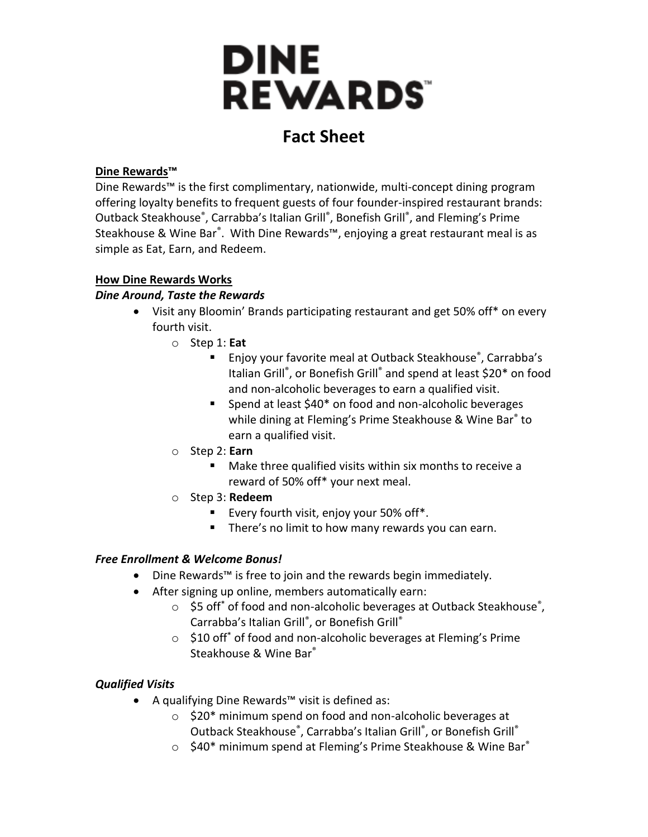

# **Fact Sheet**

#### **Dine Rewards™**

Dine Rewards™ is the first complimentary, nationwide, multi-concept dining program offering loyalty benefits to frequent guests of four founder-inspired restaurant brands: Outback Steakhouse<sup>®</sup>, Carrabba's Italian Grill<sup>®</sup>, Bonefish Grill<sup>®</sup>, and Fleming's Prime Steakhouse & Wine Bar®. With Dine Rewards™, enjoying a great restaurant meal is as simple as Eat, Earn, and Redeem.

## **How Dine Rewards Works**

## *Dine Around, Taste the Rewards*

- Visit any Bloomin' Brands participating restaurant and get 50% off\* on every fourth visit.
	- o Step 1: **Eat**
		- Enjoy your favorite meal at Outback Steakhouse®, Carrabba's Italian Grill®, or Bonefish Grill® and spend at least \$20\* on food and non-alcoholic beverages to earn a qualified visit.
		- Spend at least \$40<sup>\*</sup> on food and non-alcoholic beverages while dining at Fleming's Prime Steakhouse & Wine Bar® to earn a qualified visit.
	- o Step 2: **Earn**
		- Make three qualified visits within six months to receive a reward of 50% off\* your next meal.
	- o Step 3: **Redeem**
		- **Every fourth visit, enjoy your 50% off\*.**
		- **There's no limit to how many rewards you can earn.**

# *Free Enrollment & Welcome Bonus!*

- Dine Rewards™ is free to join and the rewards begin immediately.
- After signing up online, members automatically earn:
	- \$5 off\* of food and non-alcoholic beverages at Outback Steakhouse®, Carrabba's Italian Grill®, or Bonefish Grill®
	- o \$10 off\* of food and non-alcoholic beverages at Fleming's Prime Steakhouse & Wine Bar®

# *Qualified Visits*

- A qualifying Dine Rewards™ visit is defined as:
	- o \$20\* minimum spend on food and non-alcoholic beverages at Outback Steakhouse®, Carrabba's Italian Grill®, or Bonefish Grill®
	- $\circ$  \$40\* minimum spend at Fleming's Prime Steakhouse & Wine Bar $^{\circ}$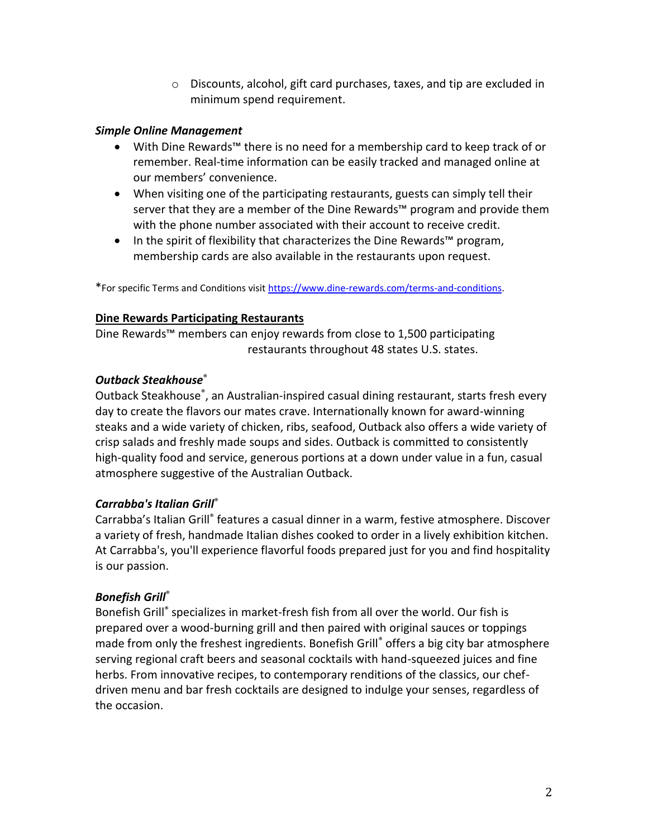o Discounts, alcohol, gift card purchases, taxes, and tip are excluded in minimum spend requirement.

#### *Simple Online Management*

- With Dine Rewards™ there is no need for a membership card to keep track of or remember. Real-time information can be easily tracked and managed online at our members' convenience.
- When visiting one of the participating restaurants, guests can simply tell their server that they are a member of the Dine Rewards™ program and provide them with the phone number associated with their account to receive credit.
- In the spirit of flexibility that characterizes the Dine Rewards™ program, membership cards are also available in the restaurants upon request.

\*For specific Terms and Conditions visi[t https://www.dine-rewards.com/terms-and-conditions.](https://www.dine-rewards.com/terms-and-conditions) 

#### **Dine Rewards Participating Restaurants**

Dine Rewards™ members can enjoy rewards from close to 1,500 participating restaurants throughout 48 states U.S. states.

# *Outback Steakhouse*®

Outback Steakhouse® , an Australian-inspired casual dining restaurant, starts fresh every day to create the flavors our mates crave. Internationally known for award-winning steaks and a wide variety of chicken, ribs, seafood, Outback also offers a wide variety of crisp salads and freshly made soups and sides. Outback is committed to consistently high-quality food and service, generous portions at a down under value in a fun, casual atmosphere suggestive of the Australian Outback.

# *Carrabba's Italian Grill*®

Carrabba's Italian Grill® features a casual dinner in a warm, festive atmosphere. Discover a variety of fresh, handmade Italian dishes cooked to order in a lively exhibition kitchen. At Carrabba's, you'll experience flavorful foods prepared just for you and find hospitality is our passion.

# *Bonefish Grill*®

Bonefish Grill® specializes in market-fresh fish from all over the world. Our fish is prepared over a wood-burning grill and then paired with original sauces or toppings made from only the freshest ingredients. Bonefish Grill<sup>®</sup> offers a big city bar atmosphere serving regional craft beers and seasonal cocktails with hand-squeezed juices and fine herbs. From innovative recipes, to contemporary renditions of the classics, our chefdriven menu and bar fresh cocktails are designed to indulge your senses, regardless of the occasion.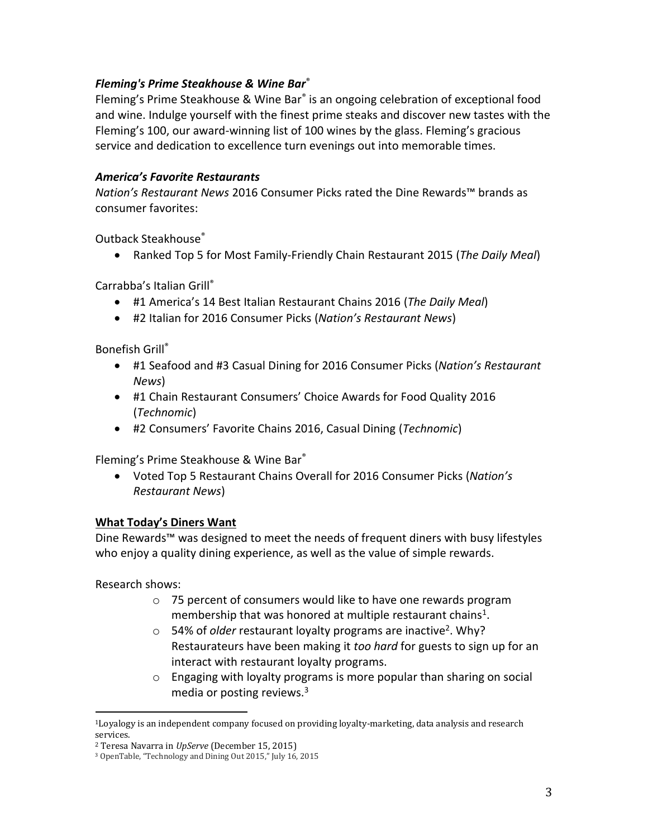## *Fleming's Prime Steakhouse & Wine Bar*®

Fleming's Prime Steakhouse & Wine Bar® is an ongoing celebration of exceptional food and wine. Indulge yourself with the finest prime steaks and discover new tastes with the Fleming's 100, our award-winning list of 100 wines by the glass. Fleming's gracious service and dedication to excellence turn evenings out into memorable times.

## *America's Favorite Restaurants*

*Nation's Restaurant News* 2016 Consumer Picks rated the Dine Rewards™ brands as consumer favorites:

Outback Steakhouse®

Ranked Top 5 for Most Family-Friendly Chain Restaurant 2015 (*The Daily Meal*)

Carrabba's Italian Grill®

- #1 America's 14 Best Italian Restaurant Chains 2016 (*The Daily Meal*)
- #2 Italian for 2016 Consumer Picks (*Nation's Restaurant News*)

Bonefish Grill®

- #1 Seafood and #3 Casual Dining for 2016 Consumer Picks (*Nation's Restaurant News*)
- #1 Chain Restaurant Consumers' Choice Awards for Food Quality 2016 (*Technomic*)
- #2 Consumers' Favorite Chains 2016, Casual Dining (*Technomic*)

Fleming's Prime Steakhouse & Wine Bar®

 Voted Top 5 Restaurant Chains Overall for 2016 Consumer Picks (*Nation's Restaurant News*)

#### **What Today's Diners Want**

Dine Rewards™ was designed to meet the needs of frequent diners with busy lifestyles who enjoy a quality dining experience, as well as the value of simple rewards.

Research shows:

l

- o 75 percent of consumers would like to have one rewards program membership that was honored at multiple restaurant chains<sup>1</sup>.
- o 54% of *older* restaurant loyalty programs are inactive<sup>2</sup>. Why? Restaurateurs have been making it *too hard* for guests to sign up for an interact with restaurant loyalty programs.
- o Engaging with loyalty programs is more popular than sharing on social media or posting reviews.<sup>3</sup>

<sup>1</sup>Loyalogy is an independent company focused on providing loyalty-marketing, data analysis and research services.

<sup>2</sup> Teresa Navarra in *UpServe* (December 15, 2015)

<sup>3</sup> OpenTable, "Technology and Dining Out 2015," July 16, 2015